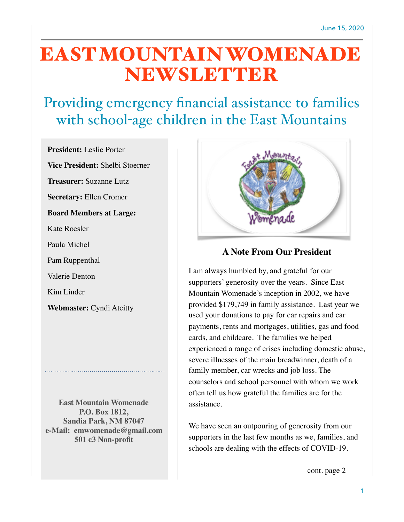# EAST MOUNTAIN WOMENADE **NEWSLETTER**

## Providing emergency financial assistance to families with school-age children in the East Mountains

**President:** Leslie Porter

**Vice President:** Shelbi Stoerner

**Treasurer:** Suzanne Lutz

**Secretary:** Ellen Cromer

**Board Members at Large:**

Kate Roesler

Paula Michel

Pam Ruppenthal

Valerie Denton

Kim Linder

**Webmaster:** Cyndi Atcitty

**East Mountain Womenade P.O. Box 1812, Sandia Park, NM 87047 e-Mail: emwomenade@gmail.com 501 c3 Non-profit**



#### **A Note From Our President**

I am always humbled by, and grateful for our supporters' generosity over the years. Since East Mountain Womenade's inception in 2002, we have provided \$179,749 in family assistance. Last year we used your donations to pay for car repairs and car payments, rents and mortgages, utilities, gas and food cards, and childcare. The families we helped experienced a range of crises including domestic abuse, severe illnesses of the main breadwinner, death of a family member, car wrecks and job loss. The counselors and school personnel with whom we work often tell us how grateful the families are for the assistance.

We have seen an outpouring of generosity from our supporters in the last few months as we, families, and schools are dealing with the effects of COVID-19.

cont. page 2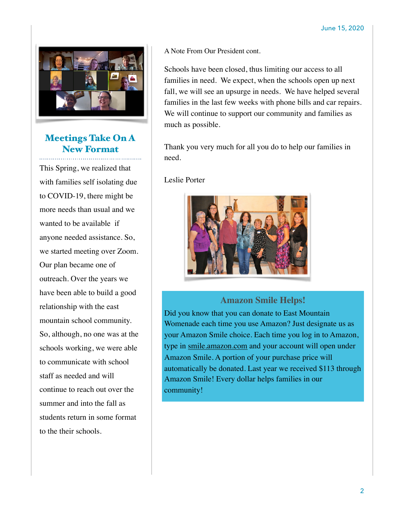

### Meetings Take On A New Format

This Spring, we realized that with families self isolating due to COVID-19, there might be more needs than usual and we wanted to be available if anyone needed assistance. So, we started meeting over Zoom. Our plan became one of outreach. Over the years we have been able to build a good relationship with the east mountain school community. So, although, no one was at the schools working, we were able to communicate with school staff as needed and will continue to reach out over the summer and into the fall as students return in some format to the their schools.

A Note From Our President cont.

Schools have been closed, thus limiting our access to all families in need. We expect, when the schools open up next fall, we will see an upsurge in needs. We have helped several families in the last few weeks with phone bills and car repairs. We will continue to support our community and families as much as possible.

Thank you very much for all you do to help our families in need.

Leslie Porter



#### **Amazon Smile Helps!**

Did you know that you can donate to East Mountain Womenade each time you use Amazon? Just designate us as your Amazon Smile choice. Each time you log in to Amazon, type in [smile.amazon.com](http://smile.amazon.com) and your account will open under Amazon Smile. A portion of your purchase price will automatically be donated. Last year we received \$113 through Amazon Smile! Every dollar helps families in our community!